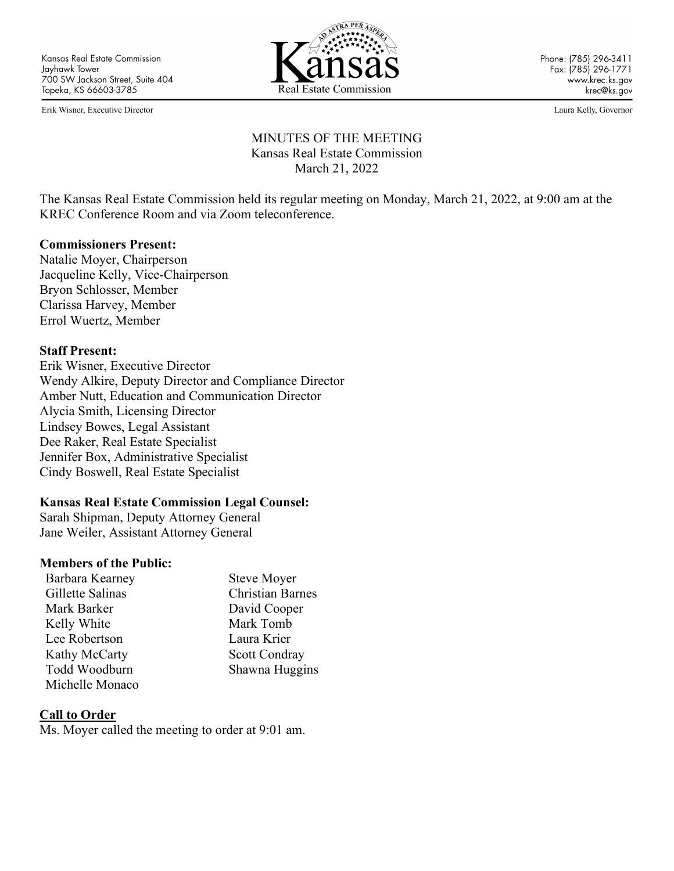Erik Wisner, Executive Director



Laura Kelly, Governor

# MINUTES OF THE MEETING Kansas Real Estate Commission March 21, 2022

The Kansas Real Estate Commission held its regular meeting on Monday, March 21, 2022, at 9:00 am at the KREC Conference Room and via Zoom teleconference.

#### **Commissioners Present:**

Natalie Moyer, Chairperson Jacqueline Kelly, Vice-Chairperson Bryon Schlosser, Member Clarissa Harvey, Member Errol Wuertz, Member

#### **Staff Present:**

Erik Wisner, Executive Director Wendy Alkire, Deputy Director and Compliance Director Amber Nutt, Education and Communication Director Alycia Smith, Licensing Director Lindsey Bowes, Legal Assistant Dee Raker, Real Estate Specialist Jennifer Box, Administrative Specialist Cindy Boswell, Real Estate Specialist

#### **Kansas Real Estate Commission Legal Counsel:**

Sarah Shipman, Deputy Attorney General Jane Weiler, Assistant Attorney General

#### **Members of the Public:**

| Barbara Kearney  | <b>Steve Moyer</b>      |
|------------------|-------------------------|
| Gillette Salinas | <b>Christian Barnes</b> |
| Mark Barker      | David Cooper            |
| Kelly White      | Mark Tomb               |
| Lee Robertson    | Laura Krier             |
| Kathy McCarty    | Scott Condray           |
| Todd Woodburn    | Shawna Huggins          |
| Michelle Monaco  |                         |

#### **Call to Order**

Ms. Moyer called the meeting to order at 9:01 am.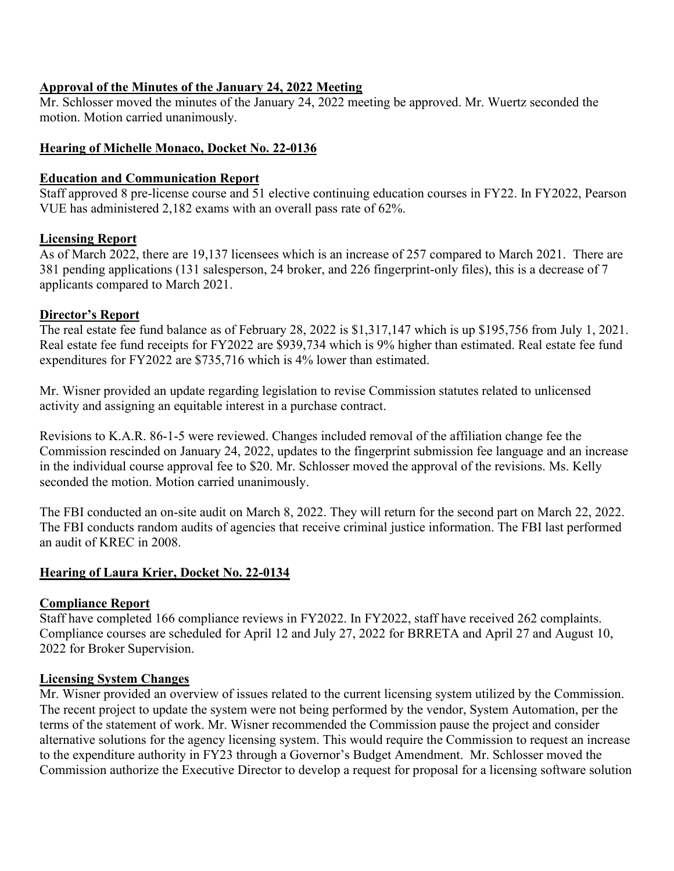### **Approval of the Minutes of the January 24, 2022 Meeting**

Mr. Schlosser moved the minutes of the January 24, 2022 meeting be approved. Mr. Wuertz seconded the motion. Motion carried unanimously.

# **Hearing of Michelle Monaco, Docket No. 22-0136**

# **Education and Communication Report**

Staff approved 8 pre-license course and 51 elective continuing education courses in FY22. In FY2022, Pearson VUE has administered 2,182 exams with an overall pass rate of 62%.

# **Licensing Report**

As of March 2022, there are 19,137 licensees which is an increase of 257 compared to March 2021. There are 381 pending applications (131 salesperson, 24 broker, and 226 fingerprint-only files), this is a decrease of 7 applicants compared to March 2021.

# **Director's Report**

The real estate fee fund balance as of February 28, 2022 is \$1,317,147 which is up \$195,756 from July 1, 2021. Real estate fee fund receipts for FY2022 are \$939,734 which is 9% higher than estimated. Real estate fee fund expenditures for FY2022 are \$735,716 which is 4% lower than estimated.

Mr. Wisner provided an update regarding legislation to revise Commission statutes related to unlicensed activity and assigning an equitable interest in a purchase contract.

Revisions to K.A.R. 86-1-5 were reviewed. Changes included removal of the affiliation change fee the Commission rescinded on January 24, 2022, updates to the fingerprint submission fee language and an increase in the individual course approval fee to \$20. Mr. Schlosser moved the approval of the revisions. Ms. Kelly seconded the motion. Motion carried unanimously.

The FBI conducted an on-site audit on March 8, 2022. They will return for the second part on March 22, 2022. The FBI conducts random audits of agencies that receive criminal justice information. The FBI last performed an audit of KREC in 2008.

# **Hearing of Laura Krier, Docket No. 22-0134**

#### **Compliance Report**

Staff have completed 166 compliance reviews in FY2022. In FY2022, staff have received 262 complaints. Compliance courses are scheduled for April 12 and July 27, 2022 for BRRETA and April 27 and August 10, 2022 for Broker Supervision.

#### **Licensing System Changes**

Mr. Wisner provided an overview of issues related to the current licensing system utilized by the Commission. The recent project to update the system were not being performed by the vendor, System Automation, per the terms of the statement of work. Mr. Wisner recommended the Commission pause the project and consider alternative solutions for the agency licensing system. This would require the Commission to request an increase to the expenditure authority in FY23 through a Governor's Budget Amendment. Mr. Schlosser moved the Commission authorize the Executive Director to develop a request for proposal for a licensing software solution